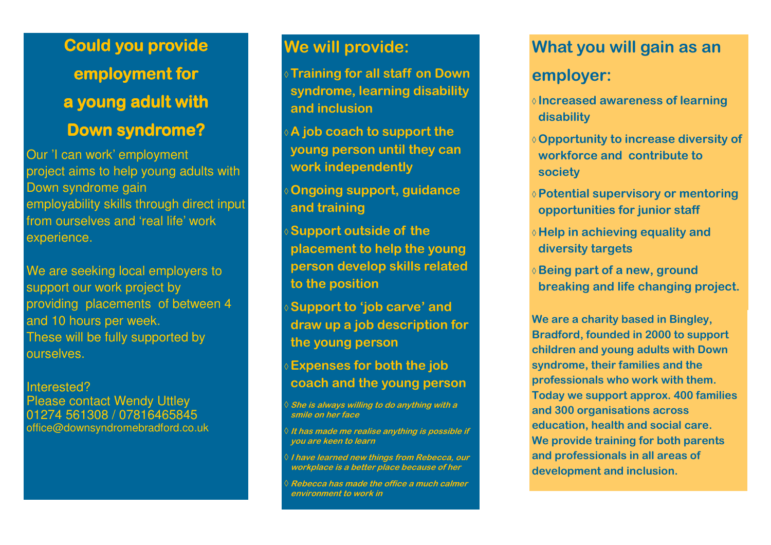**Could you provide employment for a young adult with a young adult with** 

## **Down syndrome?**

Our 'I can work' employment project aims to help young adults with Down syndrome gain employability skills through direct input from ourselves and 'real life' work experience.

We are seeking local employers to support our work project by providing placements of between 4 and 10 hours per week. These will be fully supported by ourselves.

#### Interested?

 Please contact Wendy Uttley 01274 561308 / 07816465845 office@downsyndromebradford.co.uk

## **We will provide:**

**Training for all staff on Down syndrome, learning disability and inclusion** 

 **A job coach to support the young person until they can work independently** 

**Ongoing support, guidance and training** 

**Support outside of the placement to help the young person develop skills related to the position** 

**Support to 'job carve' and draw up a job description for the young person** 

**Expenses for both the job coach and the young person** 

♦ **She is always willing to do anything with a smile on her face** 

♦ **It has made me realise anything is possible if you are keen to learn** 

 **I have learned new things from Rebecca, our workplace is a better place because of her** 

♦ **Rebecca has made the office a much calmer environment to work in** 

# **What you will gain as an employer:**

- **Increased awareness of learning disability**
- **Opportunity to increase diversity of workforce and contribute to society**
- **Potential supervisory or mentoring opportunities for junior staff**
- **Help in achieving equality and diversity targets**
- **Being part of a new, ground breaking and life changing project.**

**We are a charity based in Bingley, Bradford, founded in 2000 to support children and young adults with Down syndrome, their families and the professionals who work with them. Today we support approx. 400 families and 300 organisations across education, health and social care. We provide training for both parents and professionals in all areas of development and inclusion.**